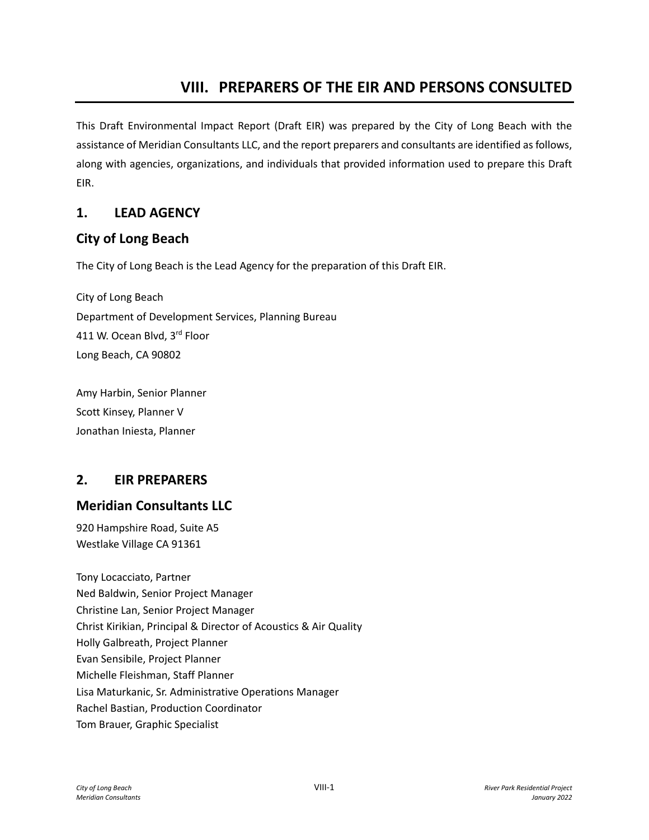# **VIII. PREPARERS OF THE EIR AND PERSONS CONSULTED**

This Draft Environmental Impact Report (Draft EIR) was prepared by the City of Long Beach with the assistance of Meridian Consultants LLC, and the report preparers and consultants are identified as follows, along with agencies, organizations, and individuals that provided information used to prepare this Draft EIR.

#### **1. LEAD AGENCY**

#### **City of Long Beach**

The City of Long Beach is the Lead Agency for the preparation of this Draft EIR.

City of Long Beach Department of Development Services, Planning Bureau 411 W. Ocean Blvd, 3rd Floor Long Beach, CA 90802

Amy Harbin, Senior Planner Scott Kinsey, Planner V Jonathan Iniesta, Planner

## **2. EIR PREPARERS**

## **Meridian Consultants LLC**

920 Hampshire Road, Suite A5 Westlake Village CA 91361

Tony Locacciato, Partner Ned Baldwin, Senior Project Manager Christine Lan, Senior Project Manager Christ Kirikian, Principal & Director of Acoustics & Air Quality Holly Galbreath, Project Planner Evan Sensibile, Project Planner Michelle Fleishman, Staff Planner Lisa Maturkanic, Sr. Administrative Operations Manager Rachel Bastian, Production Coordinator Tom Brauer, Graphic Specialist